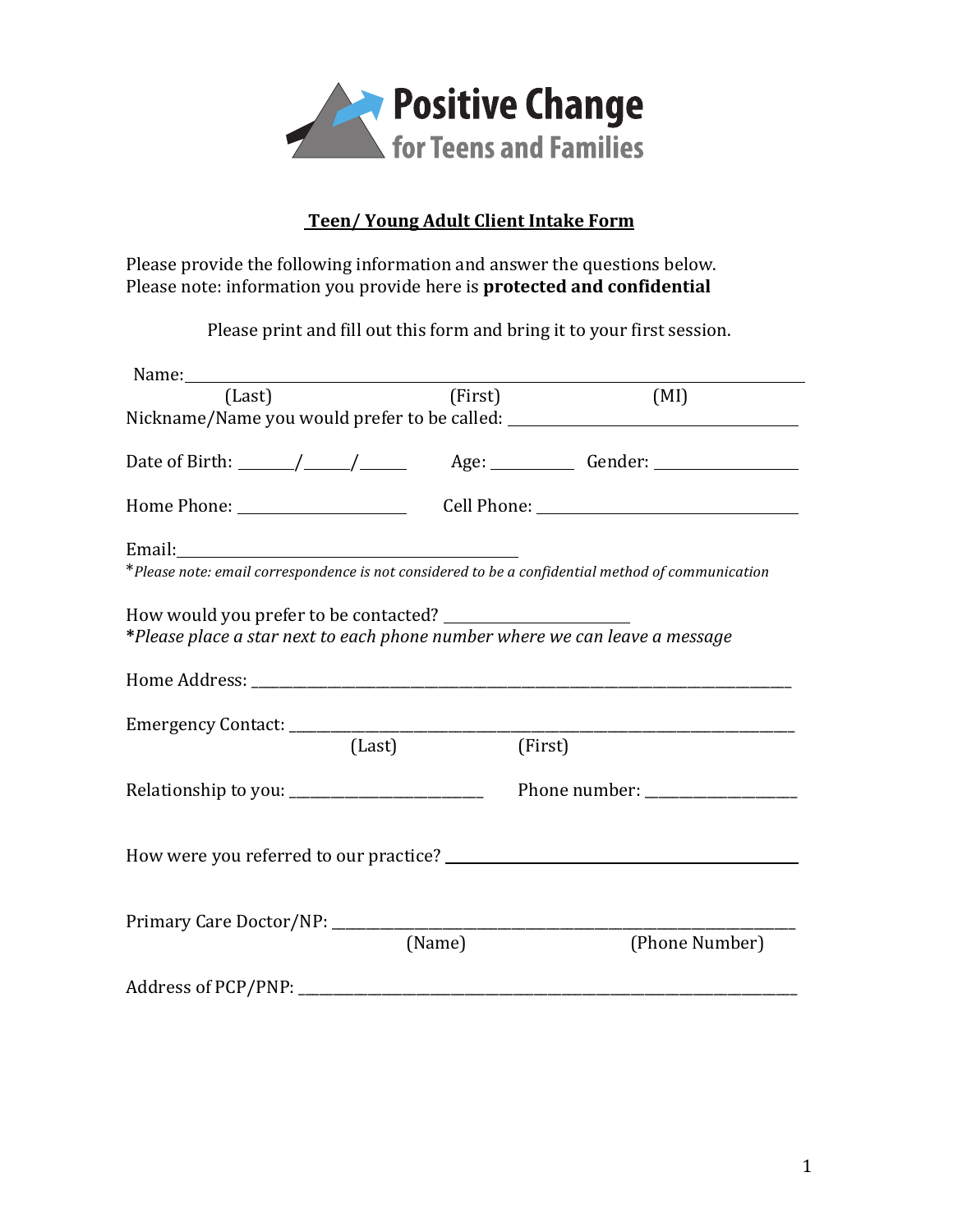

## **Teen/ Young Adult Client Intake Form**

Please provide the following information and answer the questions below. Please note: information you provide here is **protected and confidential** 

Please print and fill out this form and bring it to your first session.

| (Last)                                                                      | (First) | (MI)                                                                                                                                                                                                                                                                                                                                                                                                      |
|-----------------------------------------------------------------------------|---------|-----------------------------------------------------------------------------------------------------------------------------------------------------------------------------------------------------------------------------------------------------------------------------------------------------------------------------------------------------------------------------------------------------------|
|                                                                             |         | Nickname/Name you would prefer to be called: ___________________________________                                                                                                                                                                                                                                                                                                                          |
|                                                                             |         | Date of Birth: $\frac{1}{\sqrt{1-\frac{1}{1-\frac{1}{1-\frac{1}{1-\frac{1}{1-\frac{1}{1-\frac{1}{1-\frac{1}{1-\frac{1}{1-\frac{1}{1-\frac{1}{1-\frac{1}{1-\frac{1}{1-\frac{1}{1-\frac{1}{1-\frac{1}{1-\frac{1}{1-\frac{1}{1-\frac{1}{1-\frac{1}{1-\frac{1}{1-\frac{1}{1-\frac{1}{1-\frac{1}{1-\frac{1}{1-\frac{1}{1-\frac{1}{1-\frac{1}{1-\frac{1}{1-\frac{1}{1-\frac{1}{1-\frac{1}{1-\frac{1}{1-\frac{1$ |
|                                                                             |         |                                                                                                                                                                                                                                                                                                                                                                                                           |
|                                                                             |         |                                                                                                                                                                                                                                                                                                                                                                                                           |
|                                                                             |         | *Please note: email correspondence is not considered to be a confidential method of communication                                                                                                                                                                                                                                                                                                         |
| *Please place a star next to each phone number where we can leave a message |         |                                                                                                                                                                                                                                                                                                                                                                                                           |
|                                                                             |         |                                                                                                                                                                                                                                                                                                                                                                                                           |
|                                                                             |         |                                                                                                                                                                                                                                                                                                                                                                                                           |
| (Last)                                                                      |         | (First)                                                                                                                                                                                                                                                                                                                                                                                                   |
|                                                                             |         |                                                                                                                                                                                                                                                                                                                                                                                                           |
|                                                                             |         |                                                                                                                                                                                                                                                                                                                                                                                                           |
| Primary Care Doctor/NP: ______________                                      |         |                                                                                                                                                                                                                                                                                                                                                                                                           |
|                                                                             | (Name)  | (Phone Number)                                                                                                                                                                                                                                                                                                                                                                                            |
|                                                                             |         |                                                                                                                                                                                                                                                                                                                                                                                                           |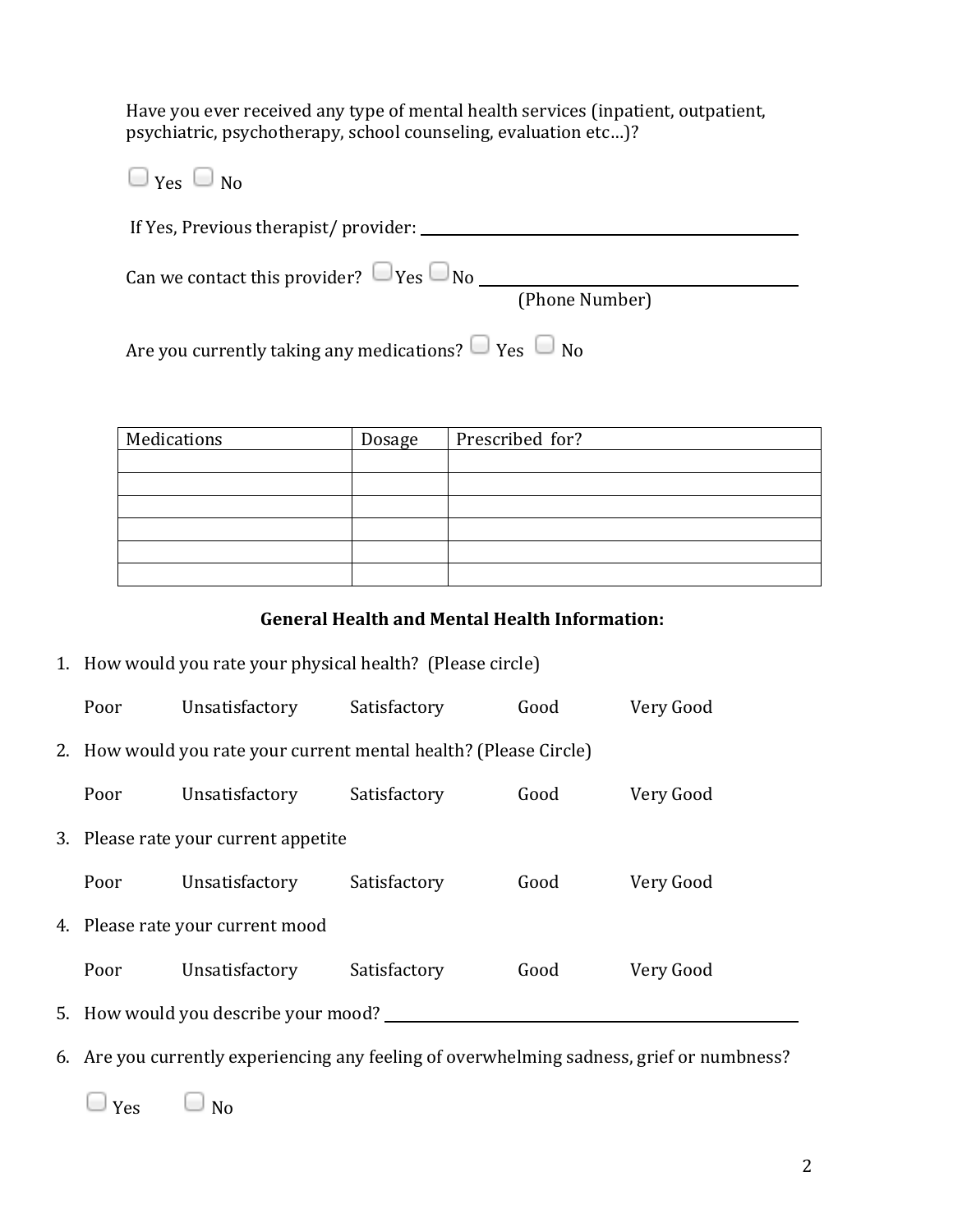Have you ever received any type of mental health services (inpatient, outpatient, psychiatric, psychotherapy, school counseling, evaluation etc...)?

| $\Box$ Yes $\Box$ No                                           |                |
|----------------------------------------------------------------|----------------|
| If Yes, Previous therapist/provider:                           |                |
| Can we contact this provider? $\Box$ Yes $\Box$ No             |                |
|                                                                | (Phone Number) |
| Are you currently taking any medications? $\Box$ Yes $\Box$ No |                |

| Medications | Dosage | Prescribed for? |
|-------------|--------|-----------------|
|             |        |                 |
|             |        |                 |
|             |        |                 |
|             |        |                 |
|             |        |                 |
|             |        |                 |

## **General Health and Mental Health Information:**

1. How would you rate your physical health? (Please circle)

| Poor                                                              | Unsatisfactory                       | Satisfactory | Good | Very Good |  |
|-------------------------------------------------------------------|--------------------------------------|--------------|------|-----------|--|
| 2. How would you rate your current mental health? (Please Circle) |                                      |              |      |           |  |
| Poor                                                              | Unsatisfactory                       | Satisfactory | Good | Very Good |  |
| 3. Please rate your current appetite                              |                                      |              |      |           |  |
| Poor                                                              | Unsatisfactory                       | Satisfactory | Good | Very Good |  |
| 4. Please rate your current mood                                  |                                      |              |      |           |  |
| Poor                                                              | Unsatisfactory                       | Satisfactory | Good | Very Good |  |
|                                                                   | 5. How would you describe your mood? |              |      |           |  |

6. Are you currently experiencing any feeling of overwhelming sadness, grief or numbness?

 $\Box$   $\gamma$ es  $\Box$  No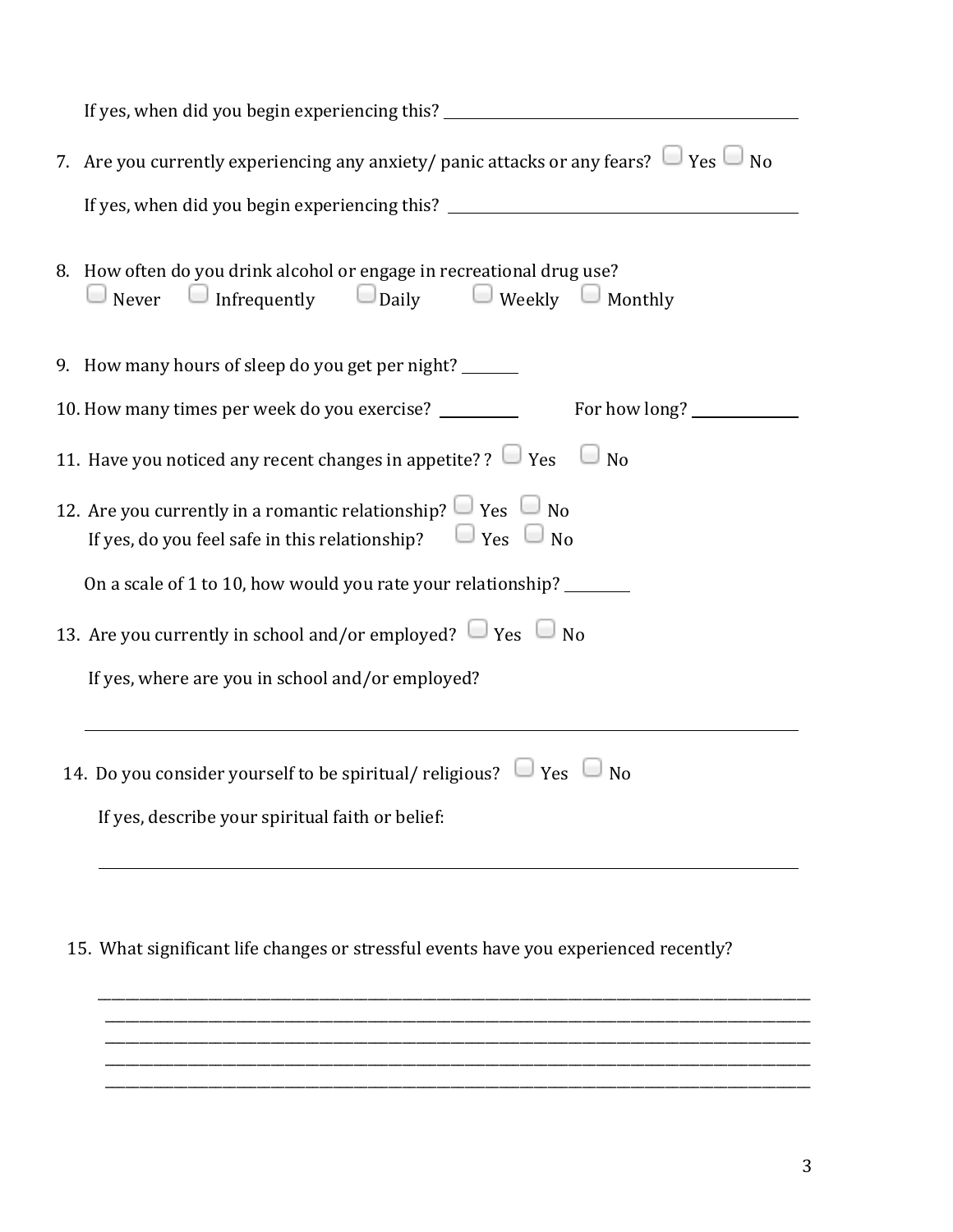| If yes, when did you begin experiencing this? __________________________________                                                                    |  |  |  |  |  |
|-----------------------------------------------------------------------------------------------------------------------------------------------------|--|--|--|--|--|
| 7. Are you currently experiencing any anxiety/ panic attacks or any fears? $\Box$ Yes $\Box$ No                                                     |  |  |  |  |  |
| If yes, when did you begin experiencing this? __________________________________                                                                    |  |  |  |  |  |
| 8. How often do you drink alcohol or engage in recreational drug use?<br>$\Box$ Never $\Box$ Infrequently $\Box$ Daily $\Box$ Weekly $\Box$ Monthly |  |  |  |  |  |
| 9. How many hours of sleep do you get per night? ______                                                                                             |  |  |  |  |  |
| 10. How many times per week do you exercise? _________<br>For how long?                                                                             |  |  |  |  |  |
| 11. Have you noticed any recent changes in appetite? ? $\Box$ Yes $\Box$ No                                                                         |  |  |  |  |  |
| 12. Are you currently in a romantic relationship? $\Box$ Yes $\Box$ No<br>If yes, do you feel safe in this relationship? $\Box$ Yes $\Box$ No       |  |  |  |  |  |
| On a scale of 1 to 10, how would you rate your relationship? _______                                                                                |  |  |  |  |  |
| 13. Are you currently in school and/or employed? $\Box$ Yes $\Box$ No                                                                               |  |  |  |  |  |
| If yes, where are you in school and/or employed?                                                                                                    |  |  |  |  |  |
| 14. Do you consider yourself to be spiritual/ religious? $\Box$ Yes $\Box$ No                                                                       |  |  |  |  |  |
| If yes, describe your spiritual faith or belief:                                                                                                    |  |  |  |  |  |
|                                                                                                                                                     |  |  |  |  |  |
|                                                                                                                                                     |  |  |  |  |  |

15. What significant life changes or stressful events have you experienced recently?

\_\_\_\_\_\_\_\_\_\_\_\_\_\_\_\_\_\_\_\_\_\_\_\_\_\_\_\_\_\_\_\_\_\_\_\_\_\_\_\_\_\_\_\_\_\_\_\_\_\_\_\_\_\_\_\_\_\_\_\_\_\_\_\_\_\_\_\_\_\_\_\_\_\_\_\_\_\_\_\_\_\_\_\_\_\_\_\_\_\_\_\_\_\_\_\_\_\_\_\_\_\_